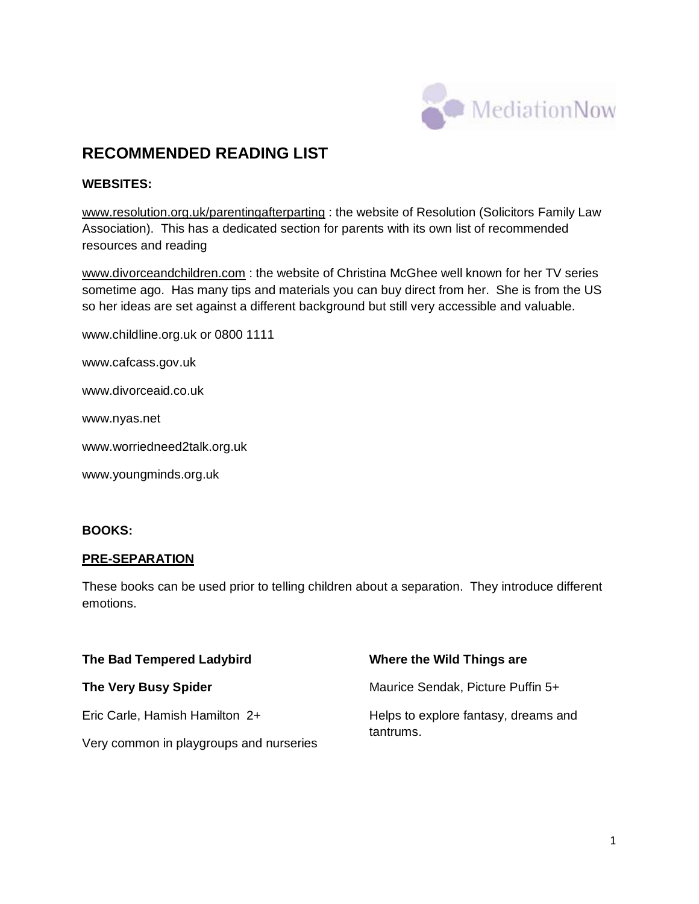

# **RECOMMENDED READING LIST**

# **WEBSITES:**

[www.resolution.org.uk/parentingafterparting](http://www.resolution.org.uk/parentingafterparting) : the website of Resolution (Solicitors Family Law Association). This has a dedicated section for parents with its own list of recommended resources and reading

[www.divorceandchildren.com](http://www.divorceandchildren.com/) : the website of Christina McGhee well known for her TV series sometime ago. Has many tips and materials you can buy direct from her. She is from the US so her ideas are set against a different background but still very accessible and valuable.

[www.childline.org.uk](http://www.childline.org.uk/) or 0800 1111

[www.cafcass.gov.uk](http://www.cafcass.gov.uk/)

[www.divorceaid.co.uk](http://www.divorceaid.co.uk/)

[www.nyas.net](http://www.nyas.net/)

[www.worriedneed2talk.org.uk](http://www.worriedneed2talk.org.uk/)

[www.youngminds.org.uk](http://www.youngminds.org.uk/)

# **BOOKS:**

# **PRE-SEPARATION**

These books can be used prior to telling children about a separation. They introduce different emotions.

| The Bad Tempered Ladybird               | Where the Wild Things are                         |
|-----------------------------------------|---------------------------------------------------|
| <b>The Very Busy Spider</b>             | Maurice Sendak, Picture Puffin 5+                 |
| Eric Carle, Hamish Hamilton 2+          | Helps to explore fantasy, dreams and<br>tantrums. |
| Very common in playgroups and nurseries |                                                   |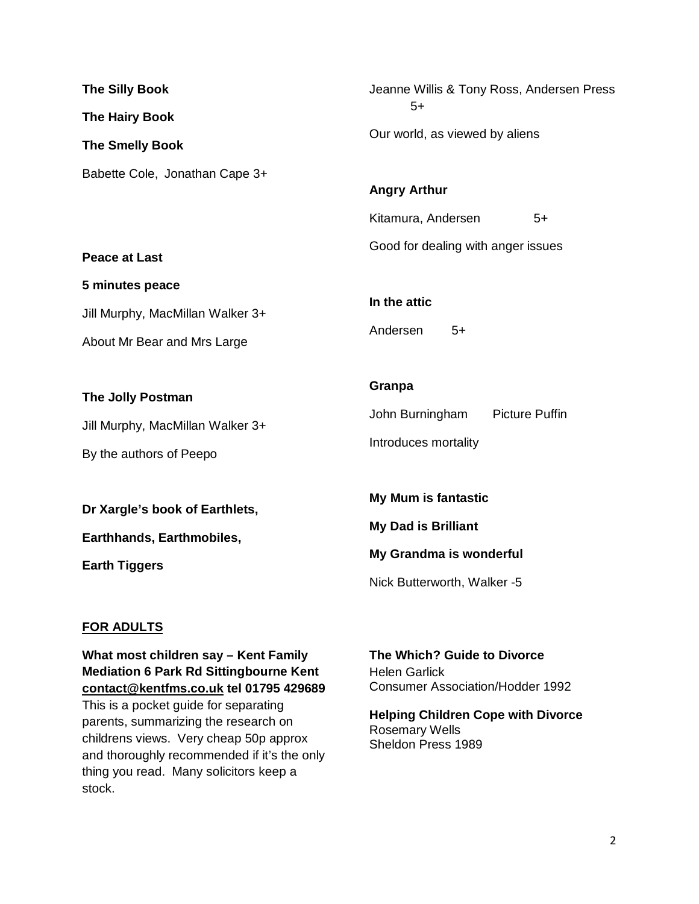| <b>The Silly Book</b>                                                            | Jeanne Willis & Tony Ross, Andersen Press                                               |
|----------------------------------------------------------------------------------|-----------------------------------------------------------------------------------------|
| <b>The Hairy Book</b>                                                            | $5+$                                                                                    |
| <b>The Smelly Book</b>                                                           | Our world, as viewed by aliens                                                          |
| Babette Cole, Jonathan Cape 3+<br><b>Peace at Last</b>                           | <b>Angry Arthur</b><br>Kitamura, Andersen<br>$5+$<br>Good for dealing with anger issues |
| 5 minutes peace                                                                  | In the attic                                                                            |
| Jill Murphy, MacMillan Walker 3+                                                 | Andersen                                                                                |
| About Mr Bear and Mrs Large                                                      | $5+$                                                                                    |
| The Jolly Postman<br>Jill Murphy, MacMillan Walker 3+<br>By the authors of Peepo | Granpa<br>John Burningham<br><b>Picture Puffin</b><br>Introduces mortality              |
| Dr Xargle's book of Earthlets,                                                   | <b>My Mum is fantastic</b>                                                              |
| Earthhands, Earthmobiles,                                                        | <b>My Dad is Brilliant</b>                                                              |
| <b>Earth Tiggers</b>                                                             | My Grandma is wonderful                                                                 |

# **FOR ADULTS**

**What most children say – Kent Family Mediation 6 Park Rd Sittingbourne Kent [contact@kentfms.co.uk](mailto:contact@kentfms.co.uk) tel 01795 429689**  This is a pocket guide for separating parents, summarizing the research on childrens views. Very cheap 50p approx and thoroughly recommended if it's the only thing you read. Many solicitors keep a stock.

**The Which? Guide to Divorce** Helen Garlick Consumer Association/Hodder 1992

Nick Butterworth, Walker -5

**Helping Children Cope with Divorce** Rosemary Wells Sheldon Press 1989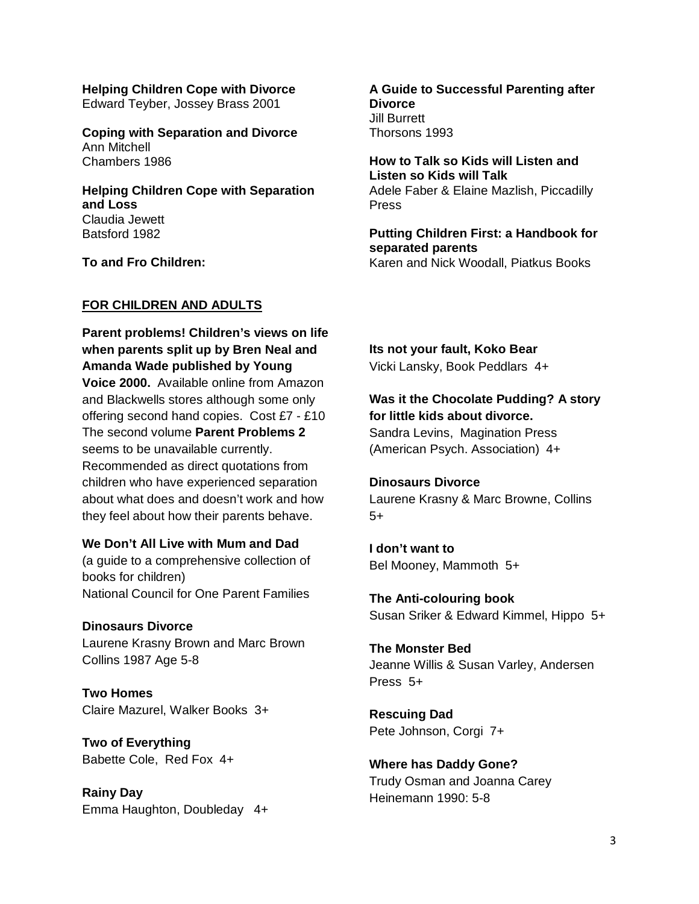**Helping Children Cope with Divorce** Edward Teyber, Jossey Brass 2001

**Coping with Separation and Divorce** Ann Mitchell Chambers 1986

**Helping Children Cope with Separation and Loss** Claudia Jewett Batsford 1982

**To and Fro Children:** 

### **FOR CHILDREN AND ADULTS**

**Parent problems! Children's views on life when parents split up by Bren Neal and Amanda Wade published by Young Voice 2000.** Available online from Amazon and Blackwells stores although some only offering second hand copies. Cost £7 - £10 The second volume **Parent Problems 2** seems to be unavailable currently. Recommended as direct quotations from children who have experienced separation about what does and doesn't work and how they feel about how their parents behave.

### **We Don't All Live with Mum and Dad**

(a guide to a comprehensive collection of books for children) National Council for One Parent Families

#### **Dinosaurs Divorce**

Laurene Krasny Brown and Marc Brown Collins 1987 Age 5-8

**Two Homes** Claire Mazurel, Walker Books 3+

**Two of Everything** Babette Cole, Red Fox 4+

**Rainy Day** Emma Haughton, Doubleday 4+

**A Guide to Successful Parenting after Divorce**  Jill Burrett Thorsons 1993

**How to Talk so Kids will Listen and Listen so Kids will Talk** Adele Faber & Elaine Mazlish, Piccadilly Press

**Putting Children First: a Handbook for separated parents** Karen and Nick Woodall, Piatkus Books

**Its not your fault, Koko Bear**

Vicki Lansky, Book Peddlars 4+

# **Was it the Chocolate Pudding? A story for little kids about divorce.**

Sandra Levins, Magination Press (American Psych. Association) 4+

#### **Dinosaurs Divorce**

Laurene Krasny & Marc Browne, Collins 5+

**I don't want to** Bel Mooney, Mammoth 5+

**The Anti-colouring book** Susan Sriker & Edward Kimmel, Hippo 5+

**The Monster Bed** Jeanne Willis & Susan Varley, Andersen Press 5+

**Rescuing Dad** Pete Johnson, Corgi 7+

**Where has Daddy Gone?** Trudy Osman and Joanna Carey Heinemann 1990: 5-8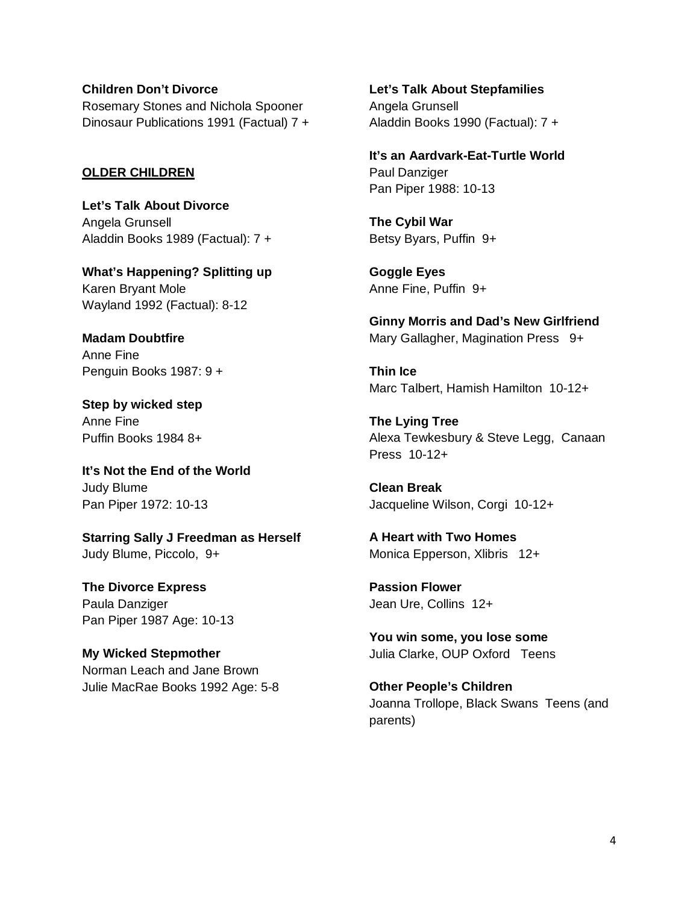### **Children Don't Divorce**

Rosemary Stones and Nichola Spooner Dinosaur Publications 1991 (Factual) 7 +

### **OLDER CHILDREN**

**Let's Talk About Divorce** Angela Grunsell Aladdin Books 1989 (Factual): 7 +

**What's Happening? Splitting up** Karen Bryant Mole Wayland 1992 (Factual): 8-12

**Madam Doubtfire** Anne Fine Penguin Books 1987: 9 +

**Step by wicked step** Anne Fine Puffin Books 1984 8+

**It's Not the End of the World** Judy Blume Pan Piper 1972: 10-13

**Starring Sally J Freedman as Herself** Judy Blume, Piccolo, 9+

**The Divorce Express** Paula Danziger Pan Piper 1987 Age: 10-13

**My Wicked Stepmother** Norman Leach and Jane Brown Julie MacRae Books 1992 Age: 5-8 **Let's Talk About Stepfamilies** Angela Grunsell Aladdin Books 1990 (Factual): 7 +

**It's an Aardvark-Eat-Turtle World** Paul Danziger Pan Piper 1988: 10-13

**The Cybil War** Betsy Byars, Puffin 9+

**Goggle Eyes** Anne Fine, Puffin 9+

**Ginny Morris and Dad's New Girlfriend** Mary Gallagher, Magination Press 9+

**Thin Ice** Marc Talbert, Hamish Hamilton 10-12+

**The Lying Tree** Alexa Tewkesbury & Steve Legg, Canaan Press 10-12+

**Clean Break** Jacqueline Wilson, Corgi 10-12+

**A Heart with Two Homes** Monica Epperson, Xlibris 12+

**Passion Flower** Jean Ure, Collins 12+

**You win some, you lose some** Julia Clarke, OUP Oxford Teens

**Other People's Children** Joanna Trollope, Black Swans Teens (and parents)